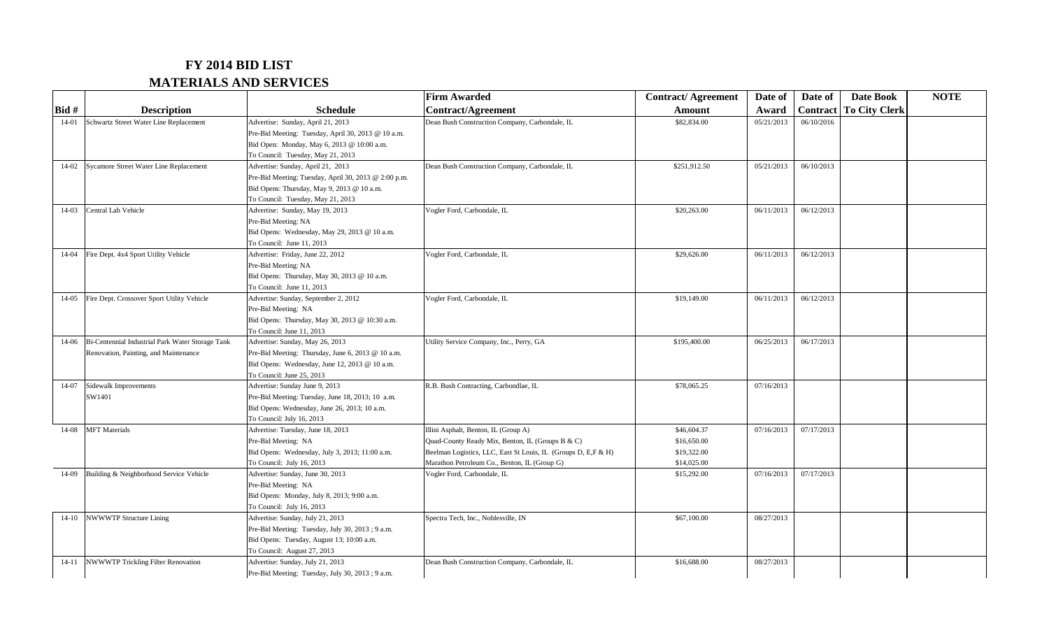## **FY 2014 BID LIST MATERIALS AND SERVICES**

|           |                                                  |                                                                                      | <b>Firm Awarded</b>                                           | <b>Contract/Agreement</b> | Date of    | Date of         | <b>Date Book</b>     | <b>NOTE</b> |
|-----------|--------------------------------------------------|--------------------------------------------------------------------------------------|---------------------------------------------------------------|---------------------------|------------|-----------------|----------------------|-------------|
| Bid #     | <b>Description</b>                               | <b>Schedule</b>                                                                      | <b>Contract/Agreement</b>                                     | Amount                    | Award      | <b>Contract</b> | <b>To City Clerk</b> |             |
| $14 - 01$ | Schwartz Street Water Line Replacement           | Advertise: Sunday, April 21, 2013                                                    | Dean Bush Construction Company, Carbondale, IL                | \$82,834.00               | 05/21/2013 | 06/10/2016      |                      |             |
|           |                                                  | Pre-Bid Meeting: Tuesday, April 30, 2013 @ 10 a.m.                                   |                                                               |                           |            |                 |                      |             |
|           |                                                  | Bid Open: Monday, May 6, 2013 @ 10:00 a.m.                                           |                                                               |                           |            |                 |                      |             |
|           |                                                  | To Council: Tuesday, May 21, 2013                                                    |                                                               |                           |            |                 |                      |             |
| $14 - 02$ | Sycamore Street Water Line Replacement           | Advertise: Sunday, April 21, 2013                                                    | Dean Bush Construction Company, Carbondale, IL                | \$251,912.50              | 05/21/2013 | 06/10/2013      |                      |             |
|           |                                                  | Pre-Bid Meeting: Tuesday, April 30, 2013 @ 2:00 p.m.                                 |                                                               |                           |            |                 |                      |             |
|           |                                                  | Bid Opens: Thursday, May 9, 2013 @ 10 a.m.                                           |                                                               |                           |            |                 |                      |             |
|           |                                                  | To Council: Tuesday, May 21, 2013                                                    |                                                               |                           |            |                 |                      |             |
| $14-03$   | Central Lab Vehicle                              | Advertise: Sunday, May 19, 2013                                                      | Vogler Ford, Carbondale, IL                                   | \$20,263.00               | 06/11/2013 | 06/12/2013      |                      |             |
|           |                                                  | Pre-Bid Meeting: NA                                                                  |                                                               |                           |            |                 |                      |             |
|           |                                                  | Bid Opens: Wednesday, May 29, 2013 @ 10 a.m.                                         |                                                               |                           |            |                 |                      |             |
|           |                                                  | To Council: June 11, 2013                                                            |                                                               |                           |            |                 |                      |             |
| $14-04$   | Fire Dept. 4x4 Sport Utility Vehicle             | Advertise: Friday, June 22, 2012                                                     | Vogler Ford, Carbondale, IL                                   | \$29,626.00               | 06/11/2013 | 06/12/2013      |                      |             |
|           |                                                  | Pre-Bid Meeting: NA                                                                  |                                                               |                           |            |                 |                      |             |
|           |                                                  | Bid Opens: Thursday, May 30, 2013 @ 10 a.m.                                          |                                                               |                           |            |                 |                      |             |
|           |                                                  | To Council: June 11, 2013                                                            |                                                               |                           |            |                 |                      |             |
| $14 - 05$ | Fire Dept. Crossover Sport Utility Vehicle       | Advertise: Sunday, September 2, 2012                                                 | Vogler Ford, Carbondale, IL                                   | \$19,149.00               | 06/11/2013 | 06/12/2013      |                      |             |
|           |                                                  | Pre-Bid Meeting: NA                                                                  |                                                               |                           |            |                 |                      |             |
|           |                                                  | Bid Opens: Thursday, May 30, 2013 @ 10:30 a.m.                                       |                                                               |                           |            |                 |                      |             |
|           |                                                  | To Council: June 11, 2013                                                            |                                                               |                           |            |                 |                      |             |
| 14-06     | Bi-Centennial Industrial Park Water Storage Tank | Advertise: Sunday, May 26, 2013                                                      | Utility Service Company, Inc., Perry, GA                      | \$195,400.00              | 06/25/2013 | 06/17/2013      |                      |             |
|           | Renovation, Painting, and Maintenance            | Pre-Bid Meeting: Thursday, June 6, 2013 @ 10 a.m.                                    |                                                               |                           |            |                 |                      |             |
|           |                                                  | Bid Opens: Wednesday, June 12, 2013 @ 10 a.m.                                        |                                                               |                           |            |                 |                      |             |
|           |                                                  | To Council: June 25, 2013                                                            |                                                               |                           |            |                 |                      |             |
| 14-07     | Sidewalk Improvements                            | Advertise: Sunday June 9, 2013                                                       | R.B. Bush Contracting, Carbondlae, IL                         | \$78,065.25               | 07/16/2013 |                 |                      |             |
|           | SW1401                                           | Pre-Bid Meeting: Tuesday, June 18, 2013; 10 a.m.                                     |                                                               |                           |            |                 |                      |             |
|           |                                                  | Bid Opens: Wednesday, June 26, 2013; 10 a.m.                                         |                                                               |                           |            |                 |                      |             |
|           |                                                  | To Council: July 16, 2013                                                            |                                                               |                           |            |                 |                      |             |
| $14 - 08$ | <b>MFT</b> Materials                             | Advertise: Tuesday, June 18, 2013                                                    | Illini Asphalt, Benton, IL (Group A)                          | \$46,604.37               | 07/16/2013 | 07/17/2013      |                      |             |
|           |                                                  | Pre-Bid Meeting: NA                                                                  | Quad-County Ready Mix, Benton, IL (Groups B & C)              | \$16,650.00               |            |                 |                      |             |
|           |                                                  | Bid Opens: Wednesday, July 3, 2013; 11:00 a.m.                                       | Beelman Logistics, LLC, East St Louis, IL (Groups D, E,F & H) | \$19,322.00               |            |                 |                      |             |
|           |                                                  | To Council: July 16, 2013                                                            | Marathon Petroleum Co., Benton, IL (Group G)                  | \$14,025.00               |            |                 |                      |             |
| 14-09     | Building & Neighborhood Service Vehicle          | Advertise: Sunday, June 30, 2013                                                     | Vogler Ford, Carbondale, IL                                   | \$15,292.00               | 07/16/2013 | 07/17/2013      |                      |             |
|           |                                                  | Pre-Bid Meeting: NA                                                                  |                                                               |                           |            |                 |                      |             |
|           |                                                  | Bid Opens: Monday, July 8, 2013; 9:00 a.m.                                           |                                                               |                           |            |                 |                      |             |
|           |                                                  | To Council: July 16, 2013                                                            |                                                               |                           | 08/27/2013 |                 |                      |             |
| $14 - 10$ | <b>NWWWTP Structure Lining</b>                   | Advertise: Sunday, July 21, 2013<br>Pre-Bid Meeting: Tuesday, July 30, 2013 ; 9 a.m. | Spectra Tech, Inc., Noblesville, IN                           | \$67,100.00               |            |                 |                      |             |
|           |                                                  | Bid Opens: Tuesday, August 13; 10:00 a.m.                                            |                                                               |                           |            |                 |                      |             |
|           |                                                  | To Council: August 27, 2013                                                          |                                                               |                           |            |                 |                      |             |
| $14-11$   | <b>NWWWTP Trickling Filter Renovation</b>        | Advertise: Sunday, July 21, 2013                                                     | Dean Bush Construction Company, Carbondale, IL                | \$16,688.00               | 08/27/2013 |                 |                      |             |
|           |                                                  |                                                                                      |                                                               |                           |            |                 |                      |             |
|           |                                                  | Pre-Bid Meeting: Tuesday, July 30, 2013; 9 a.m.                                      |                                                               |                           |            |                 |                      |             |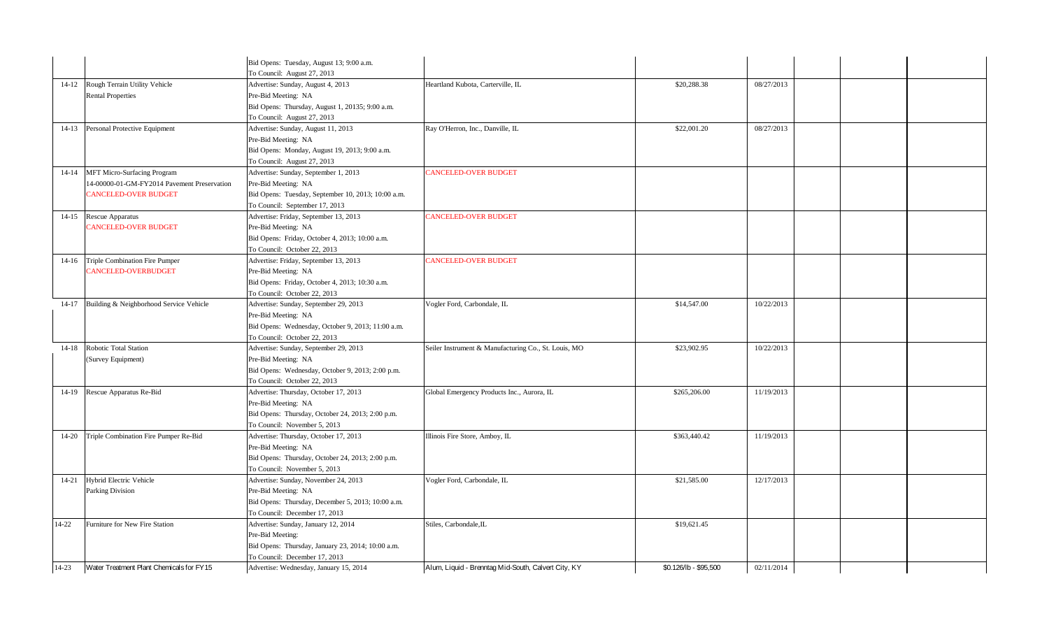|           |                                             | Bid Opens: Tuesday, August 13; 9:00 a.m.                              |                                                      |                       |            |  |
|-----------|---------------------------------------------|-----------------------------------------------------------------------|------------------------------------------------------|-----------------------|------------|--|
|           |                                             | To Council: August 27, 2013                                           |                                                      |                       |            |  |
| $14 - 12$ | Rough Terrain Utility Vehicle               | Advertise: Sunday, August 4, 2013                                     | Heartland Kubota, Carterville, IL                    | \$20,288.38           | 08/27/2013 |  |
|           | <b>Rental Properties</b>                    | Pre-Bid Meeting: NA                                                   |                                                      |                       |            |  |
|           |                                             | Bid Opens: Thursday, August 1, 20135; 9:00 a.m.                       |                                                      |                       |            |  |
|           |                                             | To Council: August 27, 2013                                           |                                                      |                       |            |  |
| $14 - 13$ | Personal Protective Equipment               | Advertise: Sunday, August 11, 2013                                    | Ray O'Herron, Inc., Danville, IL                     | \$22,001.20           | 08/27/2013 |  |
|           |                                             | Pre-Bid Meeting: NA                                                   |                                                      |                       |            |  |
|           |                                             | Bid Opens: Monday, August 19, 2013; 9:00 a.m.                         |                                                      |                       |            |  |
|           |                                             | To Council: August 27, 2013                                           |                                                      |                       |            |  |
| $14 - 14$ | MFT Micro-Surfacing Program                 | Advertise: Sunday, September 1, 2013                                  | CANCELED-OVER BUDGET                                 |                       |            |  |
|           | 14-00000-01-GM-FY2014 Pavement Preservation | Pre-Bid Meeting: NA                                                   |                                                      |                       |            |  |
|           | <b>CANCELED-OVER BUDGET</b>                 | Bid Opens: Tuesday, September 10, 2013; 10:00 a.m.                    |                                                      |                       |            |  |
|           |                                             | To Council: September 17, 2013                                        |                                                      |                       |            |  |
| $14 - 15$ | Rescue Apparatus                            | Advertise: Friday, September 13, 2013                                 | <b>CANCELED-OVER BUDGET</b>                          |                       |            |  |
|           | <b>CANCELED-OVER BUDGET</b>                 | Pre-Bid Meeting: NA                                                   |                                                      |                       |            |  |
|           |                                             | Bid Opens: Friday, October 4, 2013; 10:00 a.m.                        |                                                      |                       |            |  |
|           |                                             | To Council: October 22, 2013                                          |                                                      |                       |            |  |
| $14-16$   | Triple Combination Fire Pumper              | Advertise: Friday, September 13, 2013                                 | <b>CANCELED-OVER BUDGET</b>                          |                       |            |  |
|           | CANCELED-OVERBUDGET                         | Pre-Bid Meeting: NA                                                   |                                                      |                       |            |  |
|           |                                             | Bid Opens: Friday, October 4, 2013; 10:30 a.m.                        |                                                      |                       |            |  |
|           |                                             | To Council: October 22, 2013                                          |                                                      |                       |            |  |
| $14 - 17$ | Building & Neighborhood Service Vehicle     | Advertise: Sunday, September 29, 2013                                 | Vogler Ford, Carbondale, IL                          | \$14,547.00           | 10/22/2013 |  |
|           |                                             | Pre-Bid Meeting: NA                                                   |                                                      |                       |            |  |
|           |                                             | Bid Opens: Wednesday, October 9, 2013; 11:00 a.m.                     |                                                      |                       |            |  |
|           | Robotic Total Station                       | To Council: October 22, 2013                                          |                                                      |                       |            |  |
| $14 - 18$ |                                             | Advertise: Sunday, September 29, 2013                                 | Seiler Instrument & Manufacturing Co., St. Louis, MO | \$23,902.95           | 10/22/2013 |  |
|           | (Survey Equipment)                          | Pre-Bid Meeting: NA                                                   |                                                      |                       |            |  |
|           |                                             | Bid Opens: Wednesday, October 9, 2013; 2:00 p.m.                      |                                                      |                       |            |  |
| $14-19$   | Rescue Apparatus Re-Bid                     | To Council: October 22, 2013<br>Advertise: Thursday, October 17, 2013 | Global Emergency Products Inc., Aurora, IL           | \$265,206.00          | 11/19/2013 |  |
|           |                                             | Pre-Bid Meeting: NA                                                   |                                                      |                       |            |  |
|           |                                             | Bid Opens: Thursday, October 24, 2013; 2:00 p.m.                      |                                                      |                       |            |  |
|           |                                             | To Council: November 5, 2013                                          |                                                      |                       |            |  |
| $14 - 20$ | Triple Combination Fire Pumper Re-Bid       | Advertise: Thursday, October 17, 2013                                 | Illinois Fire Store, Amboy, IL                       | \$363,440.42          | 11/19/2013 |  |
|           |                                             | Pre-Bid Meeting: NA                                                   |                                                      |                       |            |  |
|           |                                             | Bid Opens: Thursday, October 24, 2013; 2:00 p.m.                      |                                                      |                       |            |  |
|           |                                             | To Council: November 5, 2013                                          |                                                      |                       |            |  |
| $14 - 21$ | Hybrid Electric Vehicle                     | Advertise: Sunday, November 24, 2013                                  | Vogler Ford, Carbondale, IL                          | \$21,585.00           | 12/17/2013 |  |
|           | Parking Division                            | Pre-Bid Meeting: NA                                                   |                                                      |                       |            |  |
|           |                                             | Bid Opens: Thursday, December 5, 2013; 10:00 a.m.                     |                                                      |                       |            |  |
|           |                                             | To Council: December 17, 2013                                         |                                                      |                       |            |  |
| $14 - 22$ | Furniture for New Fire Station              | Advertise: Sunday, January 12, 2014                                   | Stiles, Carbondale, IL                               | \$19,621.45           |            |  |
|           |                                             | Pre-Bid Meeting:                                                      |                                                      |                       |            |  |
|           |                                             | Bid Opens: Thursday, January 23, 2014; 10:00 a.m.                     |                                                      |                       |            |  |
|           |                                             | To Council: December 17, 2013                                         |                                                      |                       |            |  |
| $14-23$   | Water Treatment Plant Chemicals for FY15    | Advertise: Wednesday, January 15, 2014                                | Alum, Liquid - Brenntag Mid-South, Calvert City, KY  | \$0.126/lb - \$95.500 | 02/11/2014 |  |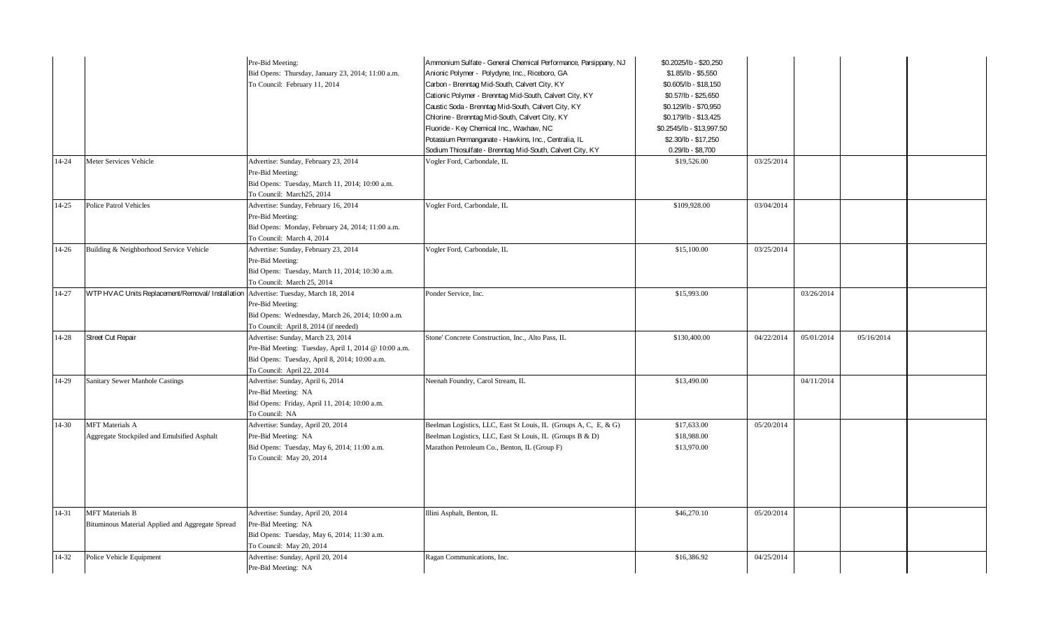|           |                                                                            | Pre-Bid Meeting:<br>Bid Opens: Thursday, January 23, 2014; 11:00 a.m.<br>To Council: February 11, 2014                                                                   | Ammonium Sulfate - General Chemical Performance, Parsippany, NJ<br>Anionic Polymer - Polydyne, Inc., Riceboro, GA<br>Carbon - Brenntag Mid-South, Calvert City, KY<br>Cationic Polymer - Brenntag Mid-South, Calvert City, KY<br>Caustic Soda - Brenntag Mid-South, Calvert City, KY<br>Chlorine - Brenntag Mid-South, Calvert City, KY<br>Fluoride - Key Chemical Inc., Waxhaw, NC<br>Potassium Permanganate - Hawkins, Inc., Centralia, IL<br>Sodium Thiosulfate - Brenntag Mid-South, Calvert City, KY | \$0.2025/lb - \$20,250<br>$$1.85/lb - $5,550$<br>\$0.605/lb - \$18,150<br>\$0.57/lb - \$25,650<br>\$0.129/lb - \$70,950<br>\$0.179/lb - \$13,425<br>\$0.2545/lb - \$13,997.50<br>\$2.30/lb - \$17,250<br>$0.29$ /lb - \$8,700 |            |            |            |  |
|-----------|----------------------------------------------------------------------------|--------------------------------------------------------------------------------------------------------------------------------------------------------------------------|-----------------------------------------------------------------------------------------------------------------------------------------------------------------------------------------------------------------------------------------------------------------------------------------------------------------------------------------------------------------------------------------------------------------------------------------------------------------------------------------------------------|-------------------------------------------------------------------------------------------------------------------------------------------------------------------------------------------------------------------------------|------------|------------|------------|--|
| 14-24     | Meter Services Vehicle                                                     | Advertise: Sunday, February 23, 2014<br>Pre-Bid Meeting:<br>Bid Opens: Tuesday, March 11, 2014; 10:00 a.m.<br>To Council: March25, 2014                                  | Vogler Ford, Carbondale, IL                                                                                                                                                                                                                                                                                                                                                                                                                                                                               | \$19,526.00                                                                                                                                                                                                                   | 03/25/2014 |            |            |  |
| $14 - 25$ | Police Patrol Vehicles                                                     | Advertise: Sunday, February 16, 2014<br>Pre-Bid Meeting:<br>Bid Opens: Monday, February 24, 2014; 11:00 a.m.<br>To Council: March 4, 2014                                | Vogler Ford, Carbondale, IL                                                                                                                                                                                                                                                                                                                                                                                                                                                                               | \$109,928.00                                                                                                                                                                                                                  | 03/04/2014 |            |            |  |
| 14-26     | Building & Neighborhood Service Vehicle                                    | Advertise: Sunday, February 23, 2014<br>Pre-Bid Meeting:<br>Bid Opens: Tuesday, March 11, 2014; 10:30 a.m.<br>To Council: March 25, 2014                                 | Vogler Ford, Carbondale, IL                                                                                                                                                                                                                                                                                                                                                                                                                                                                               | \$15,100.00                                                                                                                                                                                                                   | 03/25/2014 |            |            |  |
| 14-27     | WTP HVAC Units Replacement/Removal/ Installation                           | Advertise: Tuesday, March 18, 2014<br>Pre-Bid Meeting:<br>Bid Opens: Wednesday, March 26, 2014; 10:00 a.m.<br>To Council: April 8, 2014 (if needed)                      | Ponder Service, Inc.                                                                                                                                                                                                                                                                                                                                                                                                                                                                                      | \$15,993.00                                                                                                                                                                                                                   |            | 03/26/2014 |            |  |
| $14 - 28$ | Street Cut Repair                                                          | Advertise: Sunday, March 23, 2014<br>Pre-Bid Meeting: Tuesday, April 1, 2014 @ 10:00 a.m.<br>Bid Opens: Tuesday, April 8, 2014; 10:00 a.m.<br>To Council: April 22, 2014 | Stone' Concrete Construction, Inc., Alto Pass, IL                                                                                                                                                                                                                                                                                                                                                                                                                                                         | \$130,400.00                                                                                                                                                                                                                  | 04/22/2014 | 05/01/2014 | 05/16/2014 |  |
| 14-29     | <b>Sanitary Sewer Manhole Castings</b>                                     | Advertise: Sunday, April 6, 2014<br>Pre-Bid Meeting: NA<br>Bid Opens: Friday, April 11, 2014; 10:00 a.m.<br>To Council: NA                                               | Neenah Foundry, Carol Stream, IL                                                                                                                                                                                                                                                                                                                                                                                                                                                                          | \$13,490.00                                                                                                                                                                                                                   |            | 04/11/2014 |            |  |
| $14 - 30$ | <b>MFT</b> Materials A<br>Aggregate Stockpiled and Emulsified Asphalt      | Advertise: Sunday, April 20, 2014<br>Pre-Bid Meeting: NA<br>Bid Opens: Tuesday, May 6, 2014; 11:00 a.m.<br>To Council: May 20, 2014                                      | Beelman Logistics, LLC, East St Louis, IL (Groups A, C, E, & G)<br>Beelman Logistics, LLC, East St Louis, IL (Groups B & D)<br>Marathon Petroleum Co., Benton, IL (Group F)                                                                                                                                                                                                                                                                                                                               | \$17,633.00<br>\$18,988.00<br>\$13,970.00                                                                                                                                                                                     | 05/20/2014 |            |            |  |
| 14-31     | <b>MFT</b> Materials B<br>Bituminous Material Applied and Aggregate Spread | Advertise: Sunday, April 20, 2014<br>Pre-Bid Meeting: NA<br>Bid Opens: Tuesday, May 6, 2014; 11:30 a.m.<br>To Council: May 20, 2014                                      | Illini Asphalt, Benton, IL                                                                                                                                                                                                                                                                                                                                                                                                                                                                                | \$46,270.10                                                                                                                                                                                                                   | 05/20/2014 |            |            |  |
| $14 - 32$ | Police Vehicle Equipment                                                   | Advertise: Sunday, April 20, 2014<br>Pre-Bid Meeting: NA                                                                                                                 | Ragan Communications, Inc.                                                                                                                                                                                                                                                                                                                                                                                                                                                                                | \$16,386.92                                                                                                                                                                                                                   | 04/25/2014 |            |            |  |